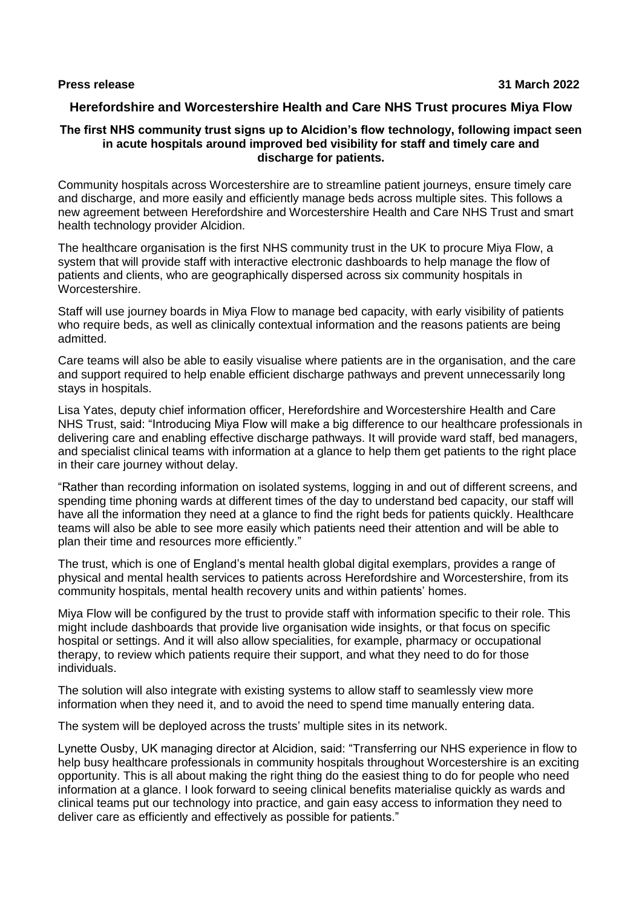# **Herefordshire and Worcestershire Health and Care NHS Trust procures Miya Flow**

#### **The first NHS community trust signs up to Alcidion's flow technology, following impact seen in acute hospitals around improved bed visibility for staff and timely care and discharge for patients.**

Community hospitals across Worcestershire are to streamline patient journeys, ensure timely care and discharge, and more easily and efficiently manage beds across multiple sites. This follows a new agreement between Herefordshire and Worcestershire Health and Care NHS Trust and smart health technology provider Alcidion.

The healthcare organisation is the first NHS community trust in the UK to procure Miya Flow, a system that will provide staff with interactive electronic dashboards to help manage the flow of patients and clients, who are geographically dispersed across six community hospitals in Worcestershire.

Staff will use journey boards in Miya Flow to manage bed capacity, with early visibility of patients who require beds, as well as clinically contextual information and the reasons patients are being admitted.

Care teams will also be able to easily visualise where patients are in the organisation, and the care and support required to help enable efficient discharge pathways and prevent unnecessarily long stays in hospitals.

Lisa Yates, deputy chief information officer, Herefordshire and Worcestershire Health and Care NHS Trust, said: "Introducing Miya Flow will make a big difference to our healthcare professionals in delivering care and enabling effective discharge pathways. It will provide ward staff, bed managers, and specialist clinical teams with information at a glance to help them get patients to the right place in their care journey without delay.

"Rather than recording information on isolated systems, logging in and out of different screens, and spending time phoning wards at different times of the day to understand bed capacity, our staff will have all the information they need at a glance to find the right beds for patients quickly. Healthcare teams will also be able to see more easily which patients need their attention and will be able to plan their time and resources more efficiently."

The trust, which is one of England's mental health global digital exemplars, provides a range of physical and mental health services to patients across Herefordshire and Worcestershire, from its community hospitals, mental health recovery units and within patients' homes.

Miya Flow will be configured by the trust to provide staff with information specific to their role. This might include dashboards that provide live organisation wide insights, or that focus on specific hospital or settings. And it will also allow specialities, for example, pharmacy or occupational therapy, to review which patients require their support, and what they need to do for those individuals.

The solution will also integrate with existing systems to allow staff to seamlessly view more information when they need it, and to avoid the need to spend time manually entering data.

The system will be deployed across the trusts' multiple sites in its network.

Lynette Ousby, UK managing director at Alcidion, said: "Transferring our NHS experience in flow to help busy healthcare professionals in community hospitals throughout Worcestershire is an exciting opportunity. This is all about making the right thing do the easiest thing to do for people who need information at a glance. I look forward to seeing clinical benefits materialise quickly as wards and clinical teams put our technology into practice, and gain easy access to information they need to deliver care as efficiently and effectively as possible for patients."